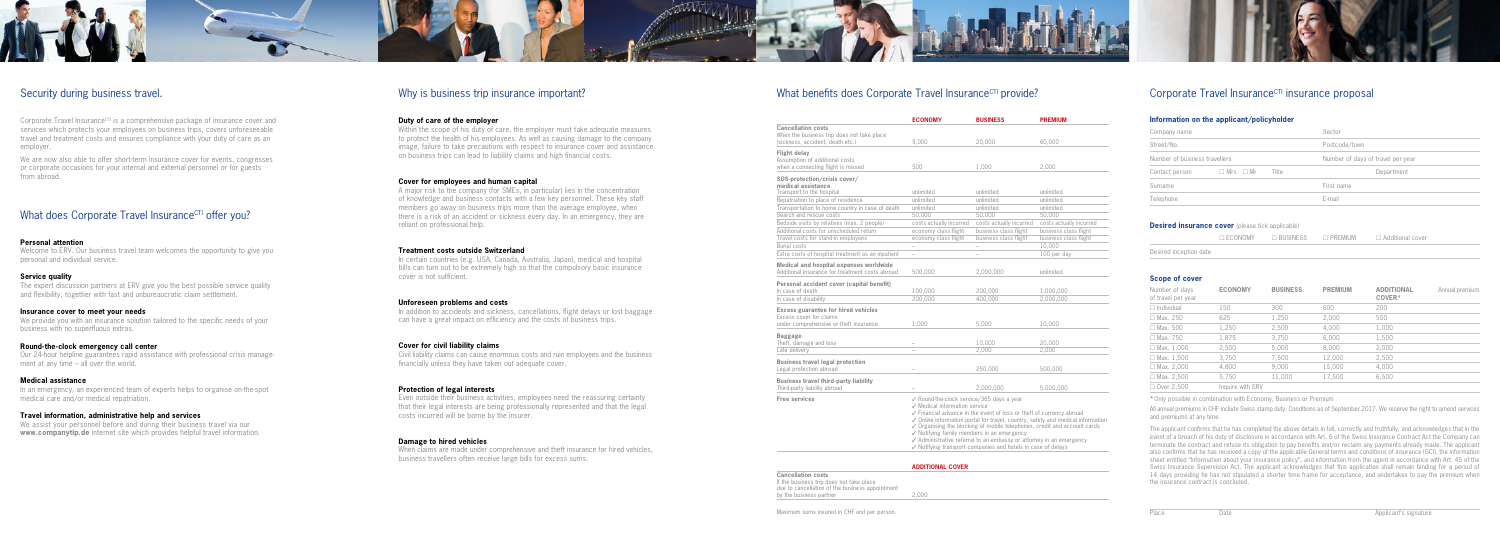

## Security during business travel.

Corporate Travel Insurance<sup> $\text{CT}$ </sup> is a comprehensive package of insurance cover and services which protects your employees on business trips, covers unforeseeable travel and treatment costs and ensures compliance with your duty of care as an employer.

We are now also able to offer short-term insurance cover for events, congresses or corporate occasions for your internal and external personnel or for guests from abroad.

## What does Corporate Travel InsuranceCTI offer you?

We provide you with an insurance solution tailored to the specific needs of your business with no superfluous extras.

## **Personal attention**

Welcome to ERV. Our business travel team welcomes the opportunity to give you personal and individual service.

## **Service quality**

The expert discussion partners at ERV give you the best possible service quality and flexibility, together with fast and unbureaucratic claim settlement.

## **Insurance cover to meet your needs**

## **Round-the-clock emergency call center**

Our 24-hour helpline guarantees rapid assistance with professional crisis management at any time – all over the world.

## **Medical assistance**

In an emergency, an experienced team of experts helps to organise on-the-spot medical care and/or medical repatriation.

## **Travel information, administrative help and services**

In addition to accidents and sickness, cancellations, flight delays or lost baggage can have a great impact on efficiency and the costs of business trips.

We assist your personnel before and during their business travel via our **www.companytip.de** internet site which provides helpful travel information.

## Why is business trip insurance important?

## **Duty of care of the employer**

When claims are made under comprehensive and theft insurance for hired vehicles, business travellers often receive large bills for excess sums.

# What benefits does Corporate Travel Insurance $CTI$  provide?

**Cancellation** When the busin (sickness, accid

Within the scope of his duty of care, the employer must take adequate measures to protect the health of his employees. As well as causing damage to the company image, failure to take precautions with respect to insurance cover and assistance on business trips can lead to liability claims and high financial costs.

#### SOS-protection medical assis Transport to t

**Personal acc** In case of deat In case of disa

## **Cover for employees and human capital**

A major risk to the company (for SMEs, in particular) lies in the concentration of knowledge and business contacts with a few key personnel. These key staff members go away on business trips more than the average employee, when there is a risk of an accident or sickness every day. In an emergency, they are reliant on professional help.

## **Treatment costs outside Switzerland**

**Business tray** Third-party liab

**Cancellation** If the busines due to cancell by the busine



In certain countries (e.g. USA, Canada, Australia, Japan), medical and hospital bills can turn out to be extremely high so that the compulsory basic insurance cover is not sufficient.

## **Unforeseen problems and costs**

## **Cover for civil liability claims**

Civil liability claims can cause enormous costs and ruin employees and the business financially unless they have taken out adequate cover.

## **Protection of legal interests**

Even outside their business activities, employees need the reassuring certainty that their legal interests are being professionally represented and that the legal costs incurred will be borne by the insurer.

## **Damage to hired vehicles**

|                                                                         | <b>ECONOMY</b>                                                                                                                                                                                                                                                                                                                                                                                                                                                                                                               | <b>BUSINESS</b>         | <b>PREMIUM</b>          |  |
|-------------------------------------------------------------------------|------------------------------------------------------------------------------------------------------------------------------------------------------------------------------------------------------------------------------------------------------------------------------------------------------------------------------------------------------------------------------------------------------------------------------------------------------------------------------------------------------------------------------|-------------------------|-------------------------|--|
| <b>Cancellation costs</b><br>When the business trip does not take place |                                                                                                                                                                                                                                                                                                                                                                                                                                                                                                                              |                         |                         |  |
| (sickness, accident, death etc.)                                        | 5,000                                                                                                                                                                                                                                                                                                                                                                                                                                                                                                                        | 20,000                  | 60,000                  |  |
| <b>Flight delay</b>                                                     |                                                                                                                                                                                                                                                                                                                                                                                                                                                                                                                              |                         |                         |  |
| Assumption of additional costs                                          |                                                                                                                                                                                                                                                                                                                                                                                                                                                                                                                              |                         |                         |  |
| when a connecting flight is missed                                      | 500                                                                                                                                                                                                                                                                                                                                                                                                                                                                                                                          | 1,000                   | 2,000                   |  |
| SOS-protection/crisis cover/<br>medical assistance                      |                                                                                                                                                                                                                                                                                                                                                                                                                                                                                                                              |                         |                         |  |
| Transport to the hospital                                               | unlimited                                                                                                                                                                                                                                                                                                                                                                                                                                                                                                                    | unlimited               | unlimited               |  |
| Repatriation to place of residence                                      | unlimited                                                                                                                                                                                                                                                                                                                                                                                                                                                                                                                    | unlimited               | unlimited               |  |
| Transportation to home country in case of death                         | unlimited                                                                                                                                                                                                                                                                                                                                                                                                                                                                                                                    | unlimited               | unlimited               |  |
| Search and rescue costs                                                 | 50.000                                                                                                                                                                                                                                                                                                                                                                                                                                                                                                                       | 50.000                  | 50.000                  |  |
| Bedside visits by relatives (max. 2 people)                             | costs actually incurred                                                                                                                                                                                                                                                                                                                                                                                                                                                                                                      | costs actually incurred | costs actually incurred |  |
| Additional costs for unscheduled return                                 | economy class flight                                                                                                                                                                                                                                                                                                                                                                                                                                                                                                         | business class flight   | business class flight   |  |
| Travel costs for stand-in employees                                     | economy class flight                                                                                                                                                                                                                                                                                                                                                                                                                                                                                                         | business class flight   | business class flight   |  |
| <b>Burial costs</b>                                                     |                                                                                                                                                                                                                                                                                                                                                                                                                                                                                                                              | ÷.                      | 10.000                  |  |
| Extra costs of hospital treatment as an inpatient                       | $\overline{\phantom{0}}$                                                                                                                                                                                                                                                                                                                                                                                                                                                                                                     | ÷.                      | 100 per day             |  |
| Medical and hospital expenses worldwide                                 |                                                                                                                                                                                                                                                                                                                                                                                                                                                                                                                              |                         |                         |  |
| Additional insurance for treatment costs abroad                         | 500,000                                                                                                                                                                                                                                                                                                                                                                                                                                                                                                                      | 2,000,000               | unlimited               |  |
| Personal accident cover (capital benefit)                               |                                                                                                                                                                                                                                                                                                                                                                                                                                                                                                                              |                         |                         |  |
| In case of death                                                        | 100,000                                                                                                                                                                                                                                                                                                                                                                                                                                                                                                                      | 200,000                 | 1,000,000               |  |
| In case of disability                                                   | 200.000                                                                                                                                                                                                                                                                                                                                                                                                                                                                                                                      | 400.000                 | 2.000.000               |  |
| <b>Excess guarantee for hired vehicles</b><br>Excess cover for claims   |                                                                                                                                                                                                                                                                                                                                                                                                                                                                                                                              |                         |                         |  |
| under comprehensive or theft insurance                                  | 1.000                                                                                                                                                                                                                                                                                                                                                                                                                                                                                                                        | 5.000                   | 10.000                  |  |
| <b>Baggage</b>                                                          |                                                                                                                                                                                                                                                                                                                                                                                                                                                                                                                              |                         |                         |  |
| Theft, damage and loss                                                  | $\overline{\phantom{a}}$                                                                                                                                                                                                                                                                                                                                                                                                                                                                                                     | 10.000                  | 20,000                  |  |
| Late delivery                                                           | $\overline{\phantom{0}}$                                                                                                                                                                                                                                                                                                                                                                                                                                                                                                     | 2,000                   | 2,000                   |  |
| <b>Business travel legal protection</b>                                 |                                                                                                                                                                                                                                                                                                                                                                                                                                                                                                                              |                         |                         |  |
| Legal protection abroad                                                 |                                                                                                                                                                                                                                                                                                                                                                                                                                                                                                                              | 250,000                 | 500,000                 |  |
| <b>Business travel third-party liability</b>                            |                                                                                                                                                                                                                                                                                                                                                                                                                                                                                                                              |                         |                         |  |
| Third-party liability abroad                                            |                                                                                                                                                                                                                                                                                                                                                                                                                                                                                                                              | 2,000,000               | 5,000,000               |  |
| <b>Free services</b>                                                    | √ Round-the-clock service/365 days a year<br>✓ Medical information service<br>✓ Financial advance in the event of loss or theft of currency abroad<br>✓ Online information portal for travel, country, safety and medical information<br>$\checkmark$ Organising the blocking of mobile telephones, credit and account cards<br>$\checkmark$ Notifying family members in an emergency<br>✓ Administrative referral to an embassy or attorney in an emergency<br>✓ Notifying transport companies and hotels in case of delays |                         |                         |  |

|                                                                                              | <b>ADDITIONAL COVER</b> |
|----------------------------------------------------------------------------------------------|-------------------------|
| n costs<br>ss trip does not take place<br>llation of the business appointment<br>ess partner | 2.000                   |
|                                                                                              |                         |

# Corporate Travel Insurance $C<sup>TI</sup>$  insurance proposal

## **Information on the applicant/policyholder**

| Company name                  |                      | Sector                            |            |  |
|-------------------------------|----------------------|-----------------------------------|------------|--|
| Street/No.                    |                      | Postcode/town                     |            |  |
| Number of business travellers |                      | Number of days of travel per year |            |  |
| Contact person                | $\Box$ Mrs $\Box$ Mr | Title                             | Department |  |
| Surname                       |                      |                                   | First name |  |
| Telephone                     |                      |                                   | E-mail     |  |

## **Desired insurance cover** (please tick applicable)

|                        |  | $\Box$ ECONOMY $\Box$ BUSINESS $\Box$ PREMIUM $\Box$ Additional cover |
|------------------------|--|-----------------------------------------------------------------------|
| Desired inception date |  |                                                                       |

## **Scope of cover**

| Number of days<br>of travel per year | <b>ECONOMY</b>   | <b>BUSINESS</b> | <b>PREMIUM</b> | <b>ADDITIONAL</b><br>COVER <sup>*</sup> | Annual premium |
|--------------------------------------|------------------|-----------------|----------------|-----------------------------------------|----------------|
| $\Box$ Individual                    | 150              | 300             | 600            | 200                                     |                |
| $\Box$ Max. 250                      | 625              | 1,250           | 2,000          | 500                                     |                |
| $\Box$ Max. 500                      | 1,250            | 2,500           | 4,000          | 1,000                                   |                |
| $\Box$ Max. 750                      | 1,875            | 3,750           | 6,000          | 1,500                                   |                |
| $\Box$ Max. 1,000                    | 2,500            | 5,000           | 8,000          | 2,000                                   |                |
| $\Box$ Max. 1,500                    | 3,750            | 7,500           | 12,000         | 2,500                                   |                |
| $\Box$ Max. 2,000                    | 4,800            | 9,000           | 15,000         | 4,000                                   |                |
| $\Box$ Max. 2.500                    | 5.750            | 11,000          | 17,500         | 6,500                                   |                |
| $\Box$ Over 2.500                    | Inquire with ERV |                 |                |                                         |                |

**\***Only possible in combination with Economy, Business or Premium

All annual premiums in CHF include Swiss stamp duty. Conditions as of September 2017. We reserve the right to amend services and premiums at any time.

The applicant confirms that he has completed the above details in full, correctly and truthfully, and acknowledges that in the event of a breach of his duty of disclosure in accordance with Art. 6 of the Swiss Insurance Contract Act the Company can terminate the contract and refuse its obligation to pay benefits and/or reclaim any payments already made. The applicant also confirms that he has received a copy of the applicable General terms and conditions of insurance (GCI), the information sheet entitled "Information about your insurance policy", and information from the agent in accordance with Art. 45 of the Swiss Insurance Supervision Act. The applicant acknowledges that this application shall remain binding for a period of 14 days providing he has not stipulated a shorter time frame for acceptance, and undertakes to pay the premium when the insurance contract is concluded.